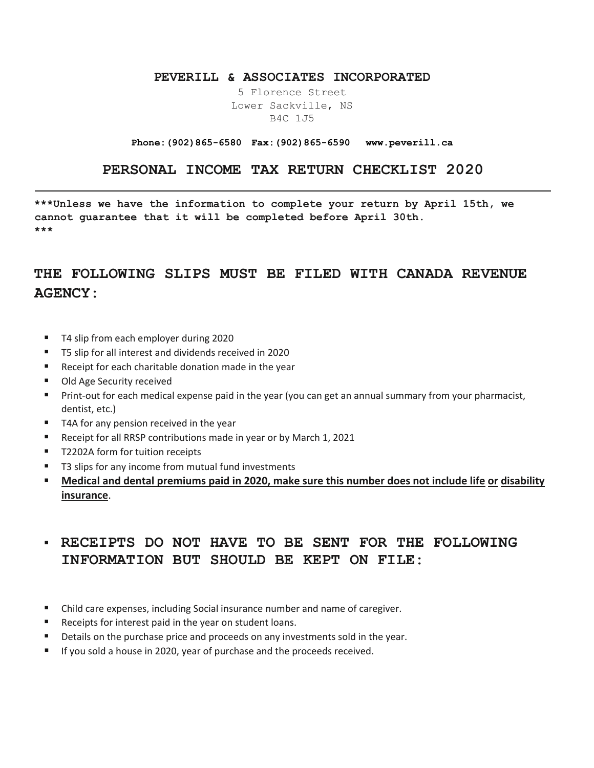#### **PEVERILL & ASSOCIATES INCORPORATED**

5 Florence Street Lower Sackville, NS B4C 1J5

#### **Phone:(902)865-6580 Fax:(902)865-6590 www.peverill.ca**

### **PERSONAL INCOME TAX RETURN CHECKLIST 2020**

**\*\*\*Unless we have the information to complete your return by April 15th, we cannot guarantee that it will be completed before April 30th. \*\*\*** 

## **THE FOLLOWING SLIPS MUST BE FILED WITH CANADA REVENUE AGENCY:**

- T4 slip from each employer during 2020
- T5 slip for all interest and dividends received in 2020
- **Receipt for each charitable donation made in the year**
- Old Age Security received
- **Print-out for each medical expense paid in the year (you can get an annual summary from your pharmacist,** dentist, etc.)
- T4A for any pension received in the year
- Receipt for all RRSP contributions made in year or by March 1, 2021
- T2202A form for tuition receipts
- T3 slips for any income from mutual fund investments
- **Medical and dental premiums paid in 2020, make sure this number does not include life or disability insurance**.

## **RECEIPTS DO NOT HAVE TO BE SENT FOR THE FOLLOWING INFORMATION BUT SHOULD BE KEPT ON FILE:**

- Child care expenses, including Social insurance number and name of caregiver.
- Receipts for interest paid in the year on student loans.
- Details on the purchase price and proceeds on any investments sold in the year.
- If you sold a house in 2020, year of purchase and the proceeds received.